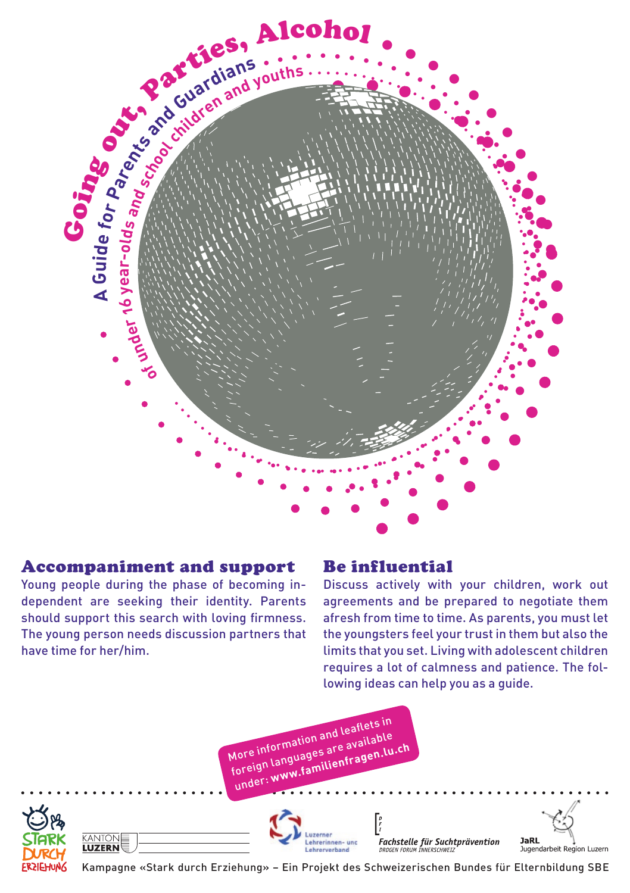

# Accompaniment and support

Young people during the phase of becoming independent are seeking their identity. Parents should support this search with loving firmness. The young person needs discussion partners that have time for her/him.

## Be influential

Discuss actively with your children, work out agreements and be prepared to negotiate them afresh from time to time. As parents, you must let the youngsters feel your trust in them but also the limits that you set. Living with adolescent children requires a lot of calmness and patience. The following ideas can help you as a guide.





KANTON

**LUZERN** 





Kampagne «Stark durch Erziehung» – Ein Projekt des Schweizerischen Bundes für Elternbildung SBE

hrannarhand